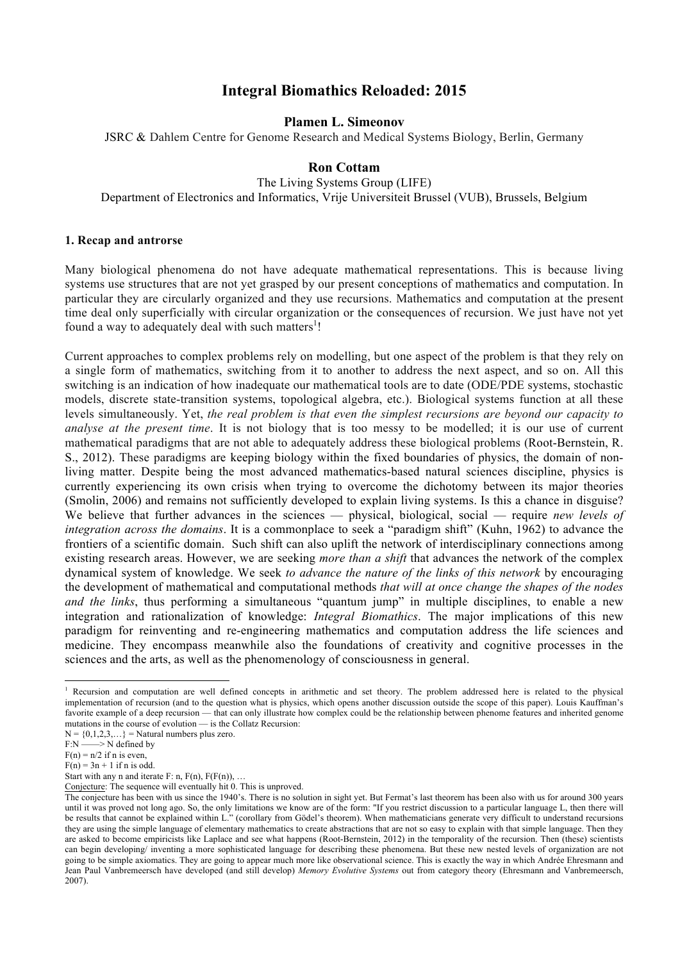# **Integral Biomathics Reloaded: 2015**

**Plamen L. Simeonov**

JSRC & Dahlem Centre for Genome Research and Medical Systems Biology, Berlin, Germany

# **Ron Cottam**

The Living Systems Group (LIFE) Department of Electronics and Informatics, Vrije Universiteit Brussel (VUB), Brussels, Belgium

### **1. Recap and antrorse**

Many biological phenomena do not have adequate mathematical representations. This is because living systems use structures that are not yet grasped by our present conceptions of mathematics and computation. In particular they are circularly organized and they use recursions. Mathematics and computation at the present time deal only superficially with circular organization or the consequences of recursion. We just have not yet found a way to adequately deal with such matters<sup>1</sup>!

Current approaches to complex problems rely on modelling, but one aspect of the problem is that they rely on a single form of mathematics, switching from it to another to address the next aspect, and so on. All this switching is an indication of how inadequate our mathematical tools are to date (ODE/PDE systems, stochastic models, discrete state-transition systems, topological algebra, etc.). Biological systems function at all these levels simultaneously. Yet, *the real problem is that even the simplest recursions are beyond our capacity to analyse at the present time*. It is not biology that is too messy to be modelled; it is our use of current mathematical paradigms that are not able to adequately address these biological problems (Root-Bernstein, R. S., 2012). These paradigms are keeping biology within the fixed boundaries of physics, the domain of nonliving matter. Despite being the most advanced mathematics-based natural sciences discipline, physics is currently experiencing its own crisis when trying to overcome the dichotomy between its major theories (Smolin, 2006) and remains not sufficiently developed to explain living systems. Is this a chance in disguise? We believe that further advances in the sciences — physical, biological, social — require *new levels of integration across the domains*. It is a commonplace to seek a "paradigm shift" (Kuhn, 1962) to advance the frontiers of a scientific domain. Such shift can also uplift the network of interdisciplinary connections among existing research areas. However, we are seeking *more than a shift* that advances the network of the complex dynamical system of knowledge. We seek *to advance the nature of the links of this network* by encouraging the development of mathematical and computational methods *that will at once change the shapes of the nodes and the links*, thus performing a simultaneous "quantum jump" in multiple disciplines, to enable a new integration and rationalization of knowledge: *Integral Biomathics*. The major implications of this new paradigm for reinventing and re-engineering mathematics and computation address the life sciences and medicine. They encompass meanwhile also the foundations of creativity and cognitive processes in the sciences and the arts, as well as the phenomenology of consciousness in general.

<u> 1989 - Jan Samuel Barbara, margaret e</u>

<sup>&</sup>lt;sup>1</sup> Recursion and computation are well defined concepts in arithmetic and set theory. The problem addressed here is related to the physical implementation of recursion (and to the question what is physics, which opens another discussion outside the scope of this paper). Louis Kauffman's favorite example of a deep recursion — that can only illustrate how complex could be the relationship between phenome features and inherited genome mutations in the course of evolution — is the Collatz Recursion:

 $N = \{0, 1, 2, 3, \ldots\}$  = Natural numbers plus zero.

 $F:N \longrightarrow N$  defined by  $F(n) = n/2$  if n is even,

 $F(n) = 3n + 1$  if n is odd.

Start with any n and iterate  $F: n$ ,  $F(n)$ ,  $F(F(n))$ , ...

Conjecture: The sequence will eventually hit 0. This is unproved.

The conjecture has been with us since the 1940's. There is no solution in sight yet. But Fermat's last theorem has been also with us for around 300 years until it was proved not long ago. So, the only limitations we know are of the form: "If you restrict discussion to a particular language L, then there will be results that cannot be explained within L." (corollary from Gödel's theorem). When mathematicians generate very difficult to understand recursions they are using the simple language of elementary mathematics to create abstractions that are not so easy to explain with that simple language. Then they are asked to become empiricists like Laplace and see what happens (Root-Bernstein, 2012) in the temporality of the recursion. Then (these) scientists can begin developing/ inventing a more sophisticated language for describing these phenomena. But these new nested levels of organization are not going to be simple axiomatics. They are going to appear much more like observational science. This is exactly the way in which Andrée Ehresmann and Jean Paul Vanbremeersch have developed (and still develop) *Memory Evolutive Systems* out from category theory (Ehresmann and Vanbremeersch, 2007).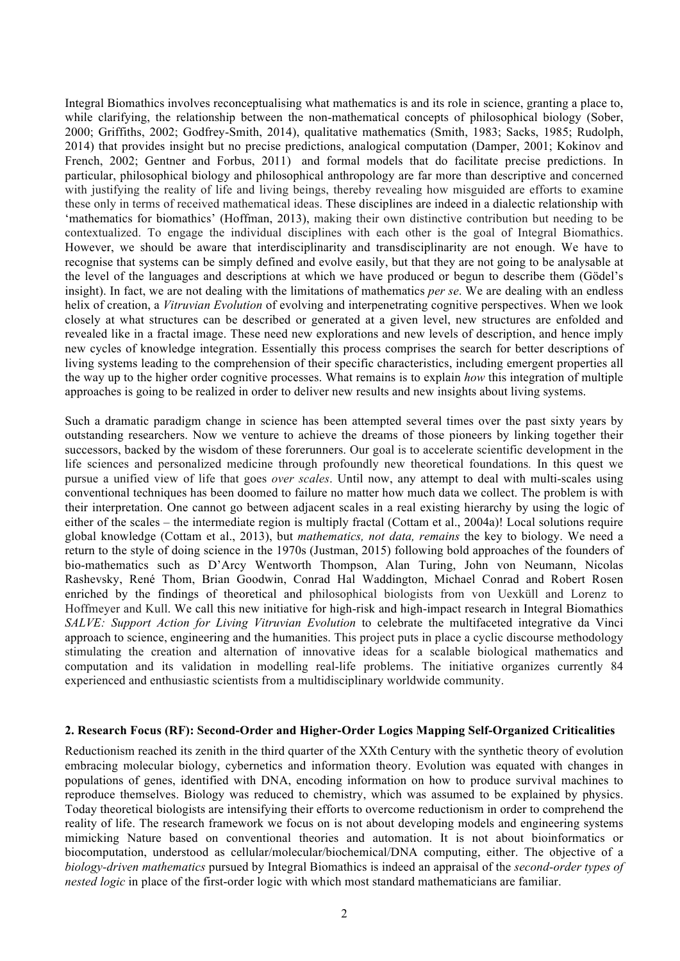Integral Biomathics involves reconceptualising what mathematics is and its role in science, granting a place to, while clarifying, the relationship between the non-mathematical concepts of philosophical biology (Sober, 2000; Griffiths, 2002; Godfrey-Smith, 2014), qualitative mathematics (Smith, 1983; Sacks, 1985; Rudolph, 2014) that provides insight but no precise predictions, analogical computation (Damper, 2001; Kokinov and French, 2002; Gentner and Forbus, 2011) and formal models that do facilitate precise predictions. In particular, philosophical biology and philosophical anthropology are far more than descriptive and concerned with justifying the reality of life and living beings, thereby revealing how misguided are efforts to examine these only in terms of received mathematical ideas. These disciplines are indeed in a dialectic relationship with 'mathematics for biomathics' (Hoffman, 2013), making their own distinctive contribution but needing to be contextualized. To engage the individual disciplines with each other is the goal of Integral Biomathics. However, we should be aware that interdisciplinarity and transdisciplinarity are not enough. We have to recognise that systems can be simply defined and evolve easily, but that they are not going to be analysable at the level of the languages and descriptions at which we have produced or begun to describe them (Gödel's insight). In fact, we are not dealing with the limitations of mathematics *per se*. We are dealing with an endless helix of creation, a *Vitruvian Evolution* of evolving and interpenetrating cognitive perspectives. When we look closely at what structures can be described or generated at a given level, new structures are enfolded and revealed like in a fractal image. These need new explorations and new levels of description, and hence imply new cycles of knowledge integration. Essentially this process comprises the search for better descriptions of living systems leading to the comprehension of their specific characteristics, including emergent properties all the way up to the higher order cognitive processes. What remains is to explain *how* this integration of multiple approaches is going to be realized in order to deliver new results and new insights about living systems.

Such a dramatic paradigm change in science has been attempted several times over the past sixty years by outstanding researchers. Now we venture to achieve the dreams of those pioneers by linking together their successors, backed by the wisdom of these forerunners. Our goal is to accelerate scientific development in the life sciences and personalized medicine through profoundly new theoretical foundations*.* In this quest we pursue a unified view of life that goes *over scales*. Until now, any attempt to deal with multi-scales using conventional techniques has been doomed to failure no matter how much data we collect. The problem is with their interpretation. One cannot go between adjacent scales in a real existing hierarchy by using the logic of either of the scales – the intermediate region is multiply fractal (Cottam et al., 2004a)! Local solutions require global knowledge (Cottam et al., 2013), but *mathematics, not data, remains* the key to biology. We need a return to the style of doing science in the 1970s (Justman, 2015) following bold approaches of the founders of bio-mathematics such as D'Arcy Wentworth Thompson, Alan Turing, John von Neumann, Nicolas Rashevsky, René Thom, Brian Goodwin, Conrad Hal Waddington, Michael Conrad and Robert Rosen enriched by the findings of theoretical and philosophical biologists from von Uexküll and Lorenz to Hoffmeyer and Kull. We call this new initiative for high-risk and high-impact research in Integral Biomathics *SALVE: Support Action for Living Vitruvian Evolution* to celebrate the multifaceted integrative da Vinci approach to science, engineering and the humanities. This project puts in place a cyclic discourse methodology stimulating the creation and alternation of innovative ideas for a scalable biological mathematics and computation and its validation in modelling real-life problems. The initiative organizes currently 84 experienced and enthusiastic scientists from a multidisciplinary worldwide community.

## **2. Research Focus (RF): Second-Order and Higher-Order Logics Mapping Self-Organized Criticalities**

Reductionism reached its zenith in the third quarter of the XXth Century with the synthetic theory of evolution embracing molecular biology, cybernetics and information theory. Evolution was equated with changes in populations of genes, identified with DNA, encoding information on how to produce survival machines to reproduce themselves. Biology was reduced to chemistry, which was assumed to be explained by physics. Today theoretical biologists are intensifying their efforts to overcome reductionism in order to comprehend the reality of life. The research framework we focus on is not about developing models and engineering systems mimicking Nature based on conventional theories and automation. It is not about bioinformatics or biocomputation, understood as cellular/molecular/biochemical/DNA computing, either. The objective of a *biology-driven mathematics* pursued by Integral Biomathics is indeed an appraisal of the *second-order types of nested logic* in place of the first-order logic with which most standard mathematicians are familiar.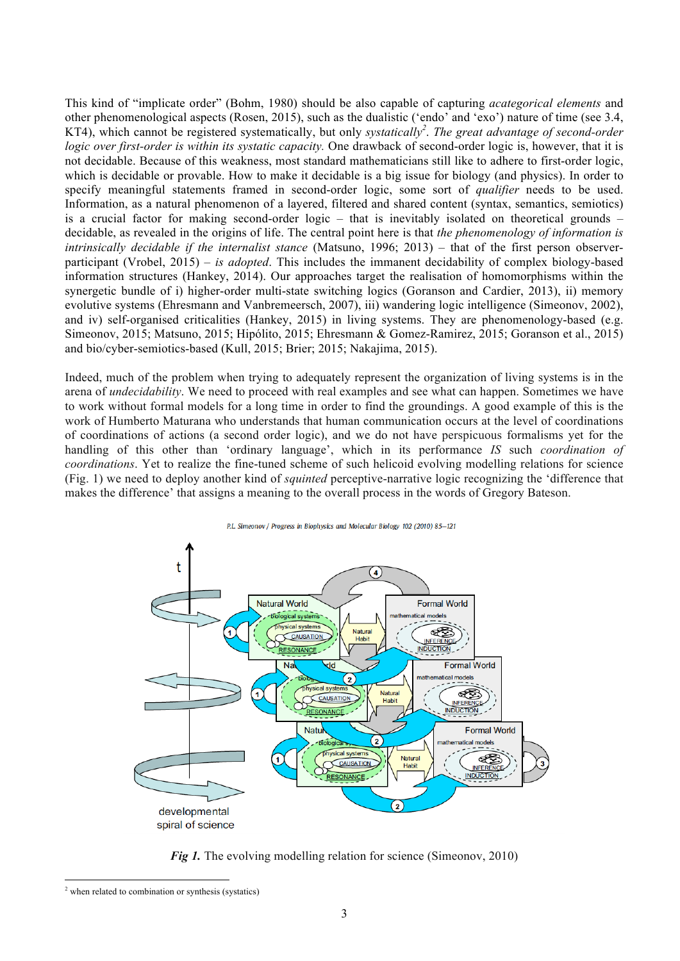This kind of "implicate order" (Bohm, 1980) should be also capable of capturing *acategorical elements* and other phenomenological aspects (Rosen, 2015), such as the dualistic ('endo' and 'exo') nature of time (see 3.4, KT4), which cannot be registered systematically, but only *systatically<sup>2</sup>* . *The great advantage of second-order logic over first-order is within its systatic capacity.* One drawback of second-order logic is, however, that it is not decidable. Because of this weakness, most standard mathematicians still like to adhere to first-order logic, which is decidable or provable. How to make it decidable is a big issue for biology (and physics). In order to specify meaningful statements framed in second-order logic, some sort of *qualifier* needs to be used. Information, as a natural phenomenon of a layered, filtered and shared content (syntax, semantics, semiotics) is a crucial factor for making second-order logic – that is inevitably isolated on theoretical grounds – decidable, as revealed in the origins of life. The central point here is that *the phenomenology of information is intrinsically decidable if the internalist stance* (Matsuno, 1996; 2013) – that of the first person observerparticipant (Vrobel, 2015) – *is adopted*. This includes the immanent decidability of complex biology-based information structures (Hankey, 2014). Our approaches target the realisation of homomorphisms within the synergetic bundle of i) higher-order multi-state switching logics (Goranson and Cardier, 2013), ii) memory evolutive systems (Ehresmann and Vanbremeersch, 2007), iii) wandering logic intelligence (Simeonov, 2002), and iv) self-organised criticalities (Hankey, 2015) in living systems. They are phenomenology-based (e.g. Simeonov, 2015; Matsuno, 2015; Hipólito, 2015; Ehresmann & Gomez-Ramirez, 2015; Goranson et al., 2015) and bio/cyber-semiotics-based (Kull, 2015; Brier; 2015; Nakajima, 2015).

Indeed, much of the problem when trying to adequately represent the organization of living systems is in the arena of *undecidability*. We need to proceed with real examples and see what can happen. Sometimes we have to work without formal models for a long time in order to find the groundings. A good example of this is the work of Humberto Maturana who understands that human communication occurs at the level of coordinations of coordinations of actions (a second order logic), and we do not have perspicuous formalisms yet for the handling of this other than 'ordinary language', which in its performance *IS* such *coordination of coordinations*. Yet to realize the fine-tuned scheme of such helicoid evolving modelling relations for science (Fig. 1) we need to deploy another kind of *squinted* perceptive-narrative logic recognizing the 'difference that makes the difference' that assigns a meaning to the overall process in the words of Gregory Bateson.



*Fig 1.* The evolving modelling relation for science (Simeonov, 2010)

<u> 1989 - Jan Samuel Barbara, margaret e</u>

<sup>2</sup> when related to combination or synthesis (systatics)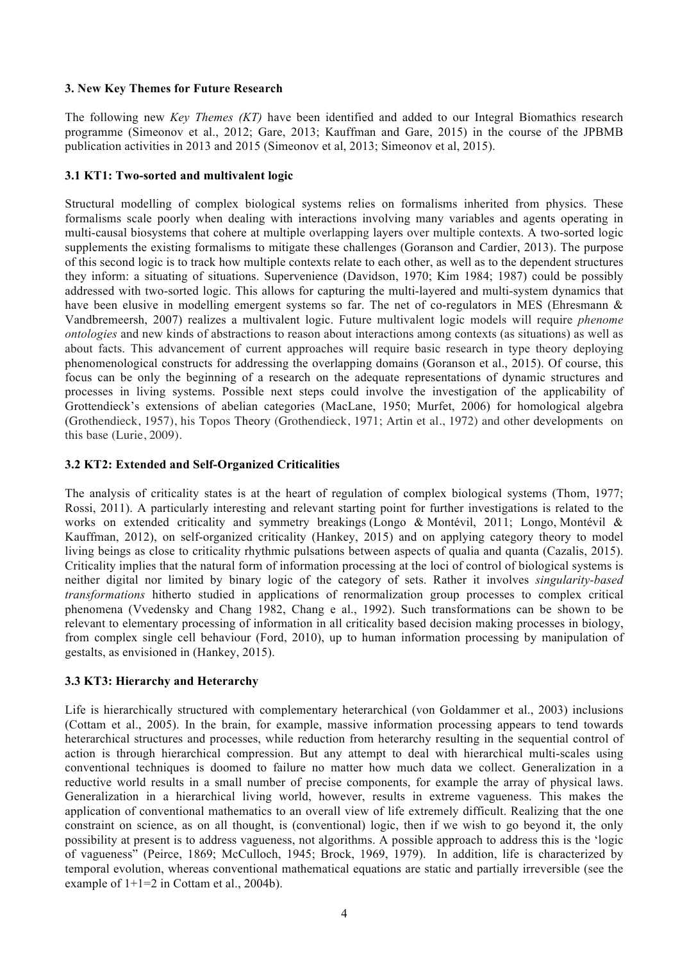# **3. New Key Themes for Future Research**

The following new *Key Themes (KT)* have been identified and added to our Integral Biomathics research programme (Simeonov et al., 2012; Gare, 2013; Kauffman and Gare, 2015) in the course of the JPBMB publication activities in 2013 and 2015 (Simeonov et al, 2013; Simeonov et al, 2015).

# **3.1 KT1: Two-sorted and multivalent logic**

Structural modelling of complex biological systems relies on formalisms inherited from physics. These formalisms scale poorly when dealing with interactions involving many variables and agents operating in multi-causal biosystems that cohere at multiple overlapping layers over multiple contexts. A two-sorted logic supplements the existing formalisms to mitigate these challenges (Goranson and Cardier, 2013). The purpose of this second logic is to track how multiple contexts relate to each other, as well as to the dependent structures they inform: a situating of situations. Supervenience (Davidson, 1970; Kim 1984; 1987) could be possibly addressed with two-sorted logic. This allows for capturing the multi-layered and multi-system dynamics that have been elusive in modelling emergent systems so far. The net of co-regulators in MES (Ehresmann & Vandbremeersh, 2007) realizes a multivalent logic. Future multivalent logic models will require *phenome ontologies* and new kinds of abstractions to reason about interactions among contexts (as situations) as well as about facts. This advancement of current approaches will require basic research in type theory deploying phenomenological constructs for addressing the overlapping domains (Goranson et al., 2015). Of course, this focus can be only the beginning of a research on the adequate representations of dynamic structures and processes in living systems. Possible next steps could involve the investigation of the applicability of Grottendieck's extensions of abelian categories (MacLane, 1950; Murfet, 2006) for homological algebra (Grothendieck, 1957), his Topos Theory (Grothendieck, 1971; Artin et al., 1972) and other developments on this base (Lurie, 2009).

# **3.2 KT2: Extended and Self-Organized Criticalities**

The analysis of criticality states is at the heart of regulation of complex biological systems (Thom, 1977; Rossi, 2011). A particularly interesting and relevant starting point for further investigations is related to the works on extended criticality and symmetry breakings (Longo & Montévil, 2011; Longo, Montévil & Kauffman, 2012), on self-organized criticality (Hankey, 2015) and on applying category theory to model living beings as close to criticality rhythmic pulsations between aspects of qualia and quanta (Cazalis, 2015). Criticality implies that the natural form of information processing at the loci of control of biological systems is neither digital nor limited by binary logic of the category of sets. Rather it involves *singularity-based transformations* hitherto studied in applications of renormalization group processes to complex critical phenomena (Vvedensky and Chang 1982, Chang e al., 1992). Such transformations can be shown to be relevant to elementary processing of information in all criticality based decision making processes in biology, from complex single cell behaviour (Ford, 2010), up to human information processing by manipulation of gestalts, as envisioned in (Hankey, 2015).

# **3.3 KT3: Hierarchy and Heterarchy**

Life is hierarchically structured with complementary heterarchical (von Goldammer et al., 2003) inclusions (Cottam et al., 2005). In the brain, for example, massive information processing appears to tend towards heterarchical structures and processes, while reduction from heterarchy resulting in the sequential control of action is through hierarchical compression. But any attempt to deal with hierarchical multi-scales using conventional techniques is doomed to failure no matter how much data we collect. Generalization in a reductive world results in a small number of precise components, for example the array of physical laws. Generalization in a hierarchical living world, however, results in extreme vagueness. This makes the application of conventional mathematics to an overall view of life extremely difficult. Realizing that the one constraint on science, as on all thought, is (conventional) logic, then if we wish to go beyond it, the only possibility at present is to address vagueness, not algorithms. A possible approach to address this is the 'logic of vagueness" (Peirce, 1869; McCulloch, 1945; Brock, 1969, 1979). In addition, life is characterized by temporal evolution, whereas conventional mathematical equations are static and partially irreversible (see the example of  $1+1=2$  in Cottam et al., 2004b).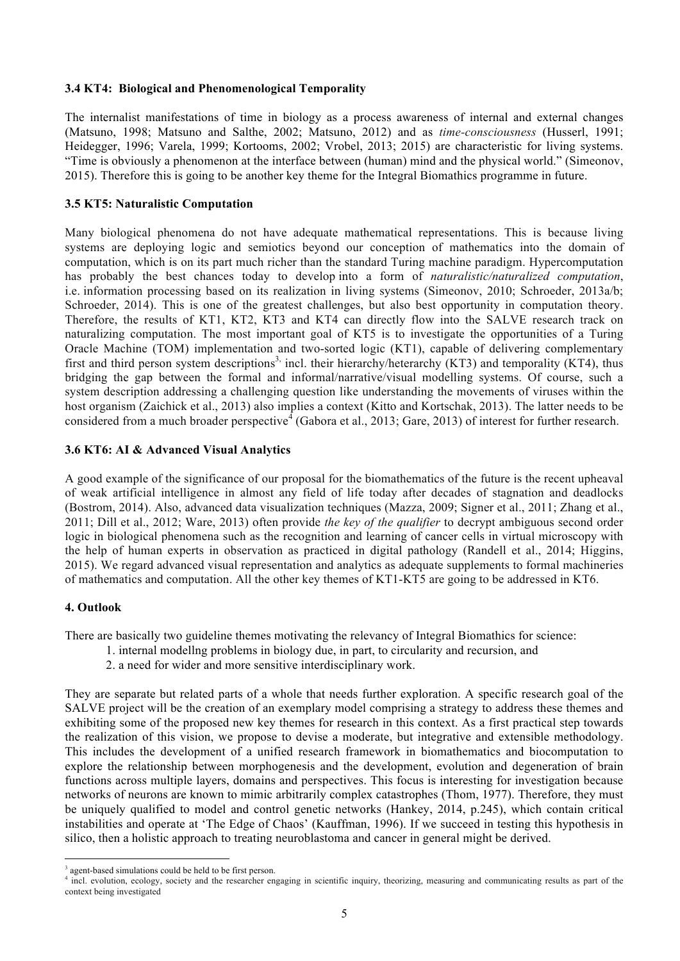## **3.4 KT4: Biological and Phenomenological Temporality**

The internalist manifestations of time in biology as a process awareness of internal and external changes (Matsuno, 1998; Matsuno and Salthe, 2002; Matsuno, 2012) and as *time-consciousness* (Husserl, 1991; Heidegger, 1996; Varela, 1999; Kortooms, 2002; Vrobel, 2013; 2015) are characteristic for living systems. "Time is obviously a phenomenon at the interface between (human) mind and the physical world." (Simeonov, 2015). Therefore this is going to be another key theme for the Integral Biomathics programme in future.

### **3.5 KT5: Naturalistic Computation**

Many biological phenomena do not have adequate mathematical representations. This is because living systems are deploying logic and semiotics beyond our conception of mathematics into the domain of computation, which is on its part much richer than the standard Turing machine paradigm. Hypercomputation has probably the best chances today to develop into a form of *naturalistic/naturalized computation*, i.e. information processing based on its realization in living systems (Simeonov, 2010; Schroeder, 2013a/b; Schroeder, 2014). This is one of the greatest challenges, but also best opportunity in computation theory. Therefore, the results of KT1, KT2, KT3 and KT4 can directly flow into the SALVE research track on naturalizing computation. The most important goal of KT5 is to investigate the opportunities of a Turing Oracle Machine (TOM) implementation and two-sorted logic (KT1), capable of delivering complementary first and third person system descriptions<sup>3,</sup> incl. their hierarchy/heterarchy (KT3) and temporality (KT4), thus bridging the gap between the formal and informal/narrative/visual modelling systems. Of course, such a system description addressing a challenging question like understanding the movements of viruses within the host organism (Zaichick et al., 2013) also implies a context (Kitto and Kortschak, 2013). The latter needs to be considered from a much broader perspective<sup> $\frac{4}{3}$ </sup> (Gabora et al., 2013; Gare, 2013) of interest for further research.

### **3.6 KT6: AI & Advanced Visual Analytics**

A good example of the significance of our proposal for the biomathematics of the future is the recent upheaval of weak artificial intelligence in almost any field of life today after decades of stagnation and deadlocks (Bostrom, 2014). Also, advanced data visualization techniques (Mazza, 2009; Signer et al., 2011; Zhang et al., 2011; Dill et al., 2012; Ware, 2013) often provide *the key of the qualifier* to decrypt ambiguous second order logic in biological phenomena such as the recognition and learning of cancer cells in virtual microscopy with the help of human experts in observation as practiced in digital pathology (Randell et al., 2014; Higgins, 2015). We regard advanced visual representation and analytics as adequate supplements to formal machineries of mathematics and computation. All the other key themes of KT1-KT5 are going to be addressed in KT6.

### **4. Outlook**

There are basically two guideline themes motivating the relevancy of Integral Biomathics for science:

- 1. internal modellng problems in biology due, in part, to circularity and recursion, and
- 2. a need for wider and more sensitive interdisciplinary work.

They are separate but related parts of a whole that needs further exploration. A specific research goal of the SALVE project will be the creation of an exemplary model comprising a strategy to address these themes and exhibiting some of the proposed new key themes for research in this context. As a first practical step towards the realization of this vision, we propose to devise a moderate, but integrative and extensible methodology. This includes the development of a unified research framework in biomathematics and biocomputation to explore the relationship between morphogenesis and the development, evolution and degeneration of brain functions across multiple layers, domains and perspectives. This focus is interesting for investigation because networks of neurons are known to mimic arbitrarily complex catastrophes (Thom, 1977). Therefore, they must be uniquely qualified to model and control genetic networks (Hankey, 2014, p.245), which contain critical instabilities and operate at 'The Edge of Chaos' (Kauffman, 1996). If we succeed in testing this hypothesis in silico, then a holistic approach to treating neuroblastoma and cancer in general might be derived.

<u> 1989 - Jan Samuel Barbara, margaret e</u>

<sup>&</sup>lt;sup>3</sup> agent-based simulations could be held to be first person.

<sup>&</sup>lt;sup>4</sup> incl. evolution, ecology, society and the researcher engaging in scientific inquiry, theorizing, measuring and communicating results as part of the context being investigated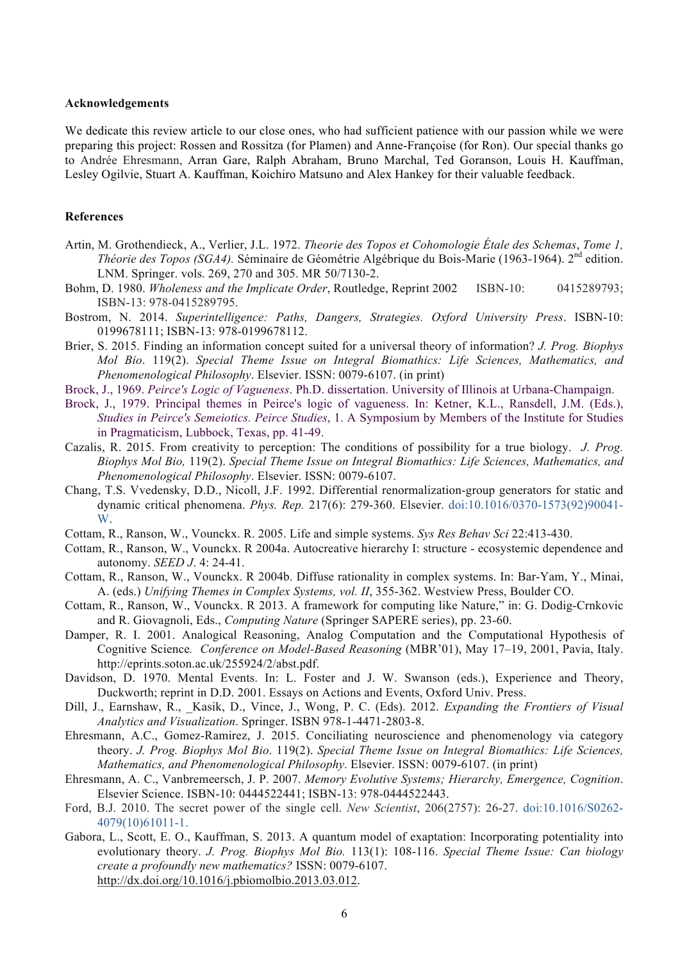#### **Acknowledgements**

We dedicate this review article to our close ones, who had sufficient patience with our passion while we were preparing this project: Rossen and Rossitza (for Plamen) and Anne-Françoise (for Ron). Our special thanks go to Andrée Ehresmann, Arran Gare, Ralph Abraham, Bruno Marchal, Ted Goranson, Louis H. Kauffman, Lesley Ogilvie, Stuart A. Kauffman, Koichiro Matsuno and Alex Hankey for their valuable feedback.

### **References**

- Artin, M. Grothendieck, A., Verlier, J.L. 1972. *Theorie des Topos et Cohomologie Étale des Schemas*, *Tome 1, Théorie des Topos (SGA4).* Séminaire de Géométrie Algébrique du Bois-Marie (1963-1964). 2nd edition. LNM. Springer. vols. 269, 270 and 305. MR 50/7130-2.
- Bohm, D. 1980. *Wholeness and the Implicate Order*, Routledge, Reprint 2002 ISBN-10: 0415289793; ISBN-13: 978-0415289795.
- Bostrom, N. 2014. *Superintelligence: Paths, Dangers, Strategies. Oxford University Press*. ISBN-10: 0199678111; ISBN-13: 978-0199678112.
- Brier, S. 2015. Finding an information concept suited for a universal theory of information? *J. Prog. Biophys Mol Bio*. 119(2). *Special Theme Issue on Integral Biomathics: Life Sciences, Mathematics, and Phenomenological Philosophy*. Elsevier. ISSN: 0079-6107. (in print)
- Brock, J., 1969. *Peirce's Logic of Vagueness*. Ph.D. dissertation. University of Illinois at Urbana-Champaign.
- Brock, J., 1979. Principal themes in Peirce's logic of vagueness. In: Ketner, K.L., Ransdell, J.M. (Eds.), *Studies in Peirce's Semeiotics. Peirce Studies*, 1. A Symposium by Members of the Institute for Studies in Pragmaticism, Lubbock, Texas, pp. 41-49.
- Cazalis, R. 2015. From creativity to perception: The conditions of possibility for a true biology. *J. Prog. Biophys Mol Bio,* 119(2). *Special Theme Issue on Integral Biomathics: Life Sciences, Mathematics, and Phenomenological Philosophy*. Elsevier. ISSN: 0079-6107.
- Chang, T.S. Vvedensky, D.D., Nicoll, J.F. 1992. Differential renormalization-group generators for static and dynamic critical phenomena. *Phys. Rep.* 217(6): 279-360. Elsevier. doi:10.1016/0370-1573(92)90041- W.
- Cottam, R., Ranson, W., Vounckx. R. 2005. Life and simple systems. *Sys Res Behav Sci* 22:413-430.
- Cottam, R., Ranson, W., Vounckx. R 2004a. Autocreative hierarchy I: structure ecosystemic dependence and autonomy. *SEED J*. 4: 24-41.
- Cottam, R., Ranson, W., Vounckx. R 2004b. Diffuse rationality in complex systems. In: Bar-Yam, Y., Minai, A. (eds.) *Unifying Themes in Complex Systems, vol. II*, 355-362. Westview Press, Boulder CO.
- Cottam, R., Ranson, W., Vounckx. R 2013. A framework for computing like Nature," in: G. Dodig-Crnkovic and R. Giovagnoli, Eds., *Computing Nature* (Springer SAPERE series), pp. 23-60.
- Damper, R. I. 2001. Analogical Reasoning, Analog Computation and the Computational Hypothesis of Cognitive Science*. Conference on Model-Based Reasoning* (MBR'01), May 17–19, 2001, Pavia, Italy. http://eprints.soton.ac.uk/255924/2/abst.pdf.
- Davidson, D. 1970. Mental Events. In: L. Foster and J. W. Swanson (eds.), Experience and Theory, Duckworth; reprint in D.D. 2001. Essays on Actions and Events, Oxford Univ. Press.
- Dill, J., Earnshaw, R., \_Kasik, D., Vince, J., Wong, P. C. (Eds). 2012. *Expanding the Frontiers of Visual Analytics and Visualization*. Springer. ISBN 978-1-4471-2803-8.
- Ehresmann, A.C., Gomez-Ramirez, J. 2015. Conciliating neuroscience and phenomenology via category theory. *J. Prog. Biophys Mol Bio*. 119(2). *Special Theme Issue on Integral Biomathics: Life Sciences, Mathematics, and Phenomenological Philosophy*. Elsevier. ISSN: 0079-6107. (in print)
- Ehresmann, A. C., Vanbremeersch, J. P. 2007. *Memory Evolutive Systems; Hierarchy, Emergence, Cognition*. Elsevier Science. ISBN-10: 0444522441; ISBN-13: 978-0444522443.
- Ford, B.J. 2010. The secret power of the single cell. *New Scientist*, 206(2757): 26-27. doi:10.1016/S0262- 4079(10)61011-1.
- Gabora, L., Scott, E. O., Kauffman, S. 2013. A quantum model of exaptation: Incorporating potentiality into evolutionary theory. *J. Prog. Biophys Mol Bio.* 113(1): 108-116. *Special Theme Issue: Can biology create a profoundly new mathematics?* ISSN: 0079-6107. http://dx.doi.org/10.1016/j.pbiomolbio.2013.03.012.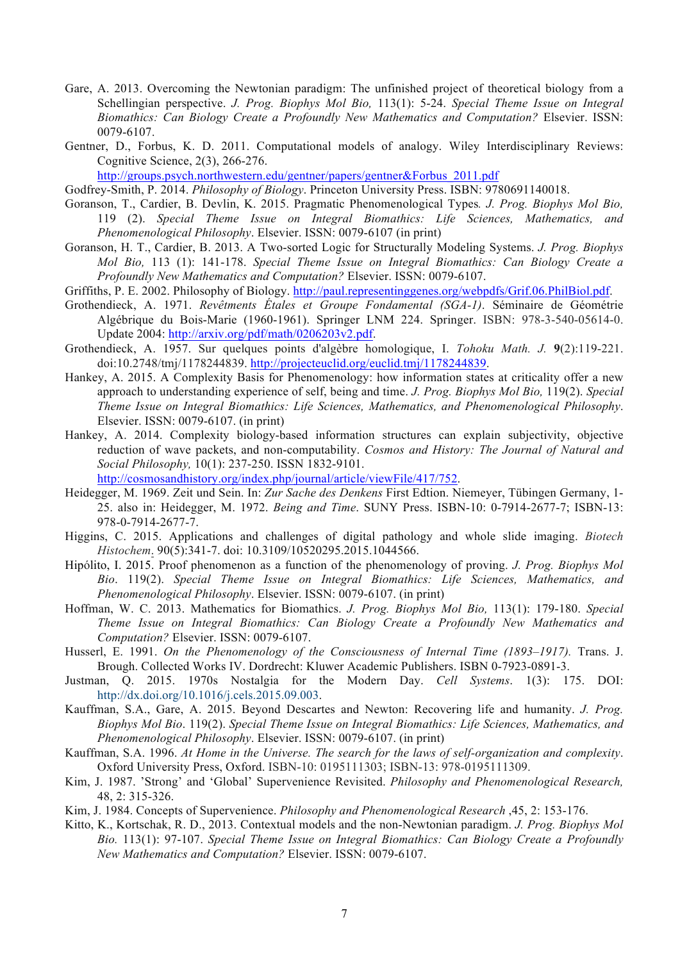- Gare, A. 2013. Overcoming the Newtonian paradigm: The unfinished project of theoretical biology from a Schellingian perspective. *J. Prog. Biophys Mol Bio,* 113(1): 5-24. *Special Theme Issue on Integral Biomathics: Can Biology Create a Profoundly New Mathematics and Computation?* Elsevier. ISSN: 0079-6107.
- Gentner, D., Forbus, K. D. 2011. Computational models of analogy. Wiley Interdisciplinary Reviews: Cognitive Science, 2(3), 266-276.

http://groups.psych.northwestern.edu/gentner/papers/gentner&Forbus\_2011.pdf

Godfrey-Smith, P. 2014. *Philosophy of Biology*. Princeton University Press. ISBN: 9780691140018.

- Goranson, T., Cardier, B. Devlin, K. 2015. Pragmatic Phenomenological Types*. J. Prog. Biophys Mol Bio,* 119 (2). *Special Theme Issue on Integral Biomathics: Life Sciences, Mathematics, and Phenomenological Philosophy*. Elsevier. ISSN: 0079-6107 (in print)
- Goranson, H. T., Cardier, B. 2013. A Two-sorted Logic for Structurally Modeling Systems. *J. Prog. Biophys Mol Bio,* 113 (1): 141-178. *Special Theme Issue on Integral Biomathics: Can Biology Create a Profoundly New Mathematics and Computation?* Elsevier. ISSN: 0079-6107.
- Griffiths, P. E. 2002. Philosophy of Biology. http://paul.representinggenes.org/webpdfs/Grif.06.PhilBiol.pdf.
- Grothendieck, A. 1971. *Revêtments Étales et Groupe Fondamental (SGA-1)*. Séminaire de Géométrie Algébrique du Bois-Marie (1960-1961). Springer LNM 224. Springer. ISBN: 978-3-540-05614-0. Update 2004: http://arxiv.org/pdf/math/0206203v2.pdf.
- Grothendieck, A. 1957. Sur quelques points d'algèbre homologique, I. *Tohoku Math. J.* **9**(2):119-221. doi:10.2748/tmj/1178244839. http://projecteuclid.org/euclid.tmj/1178244839.
- Hankey, A. 2015. A Complexity Basis for Phenomenology: how information states at criticality offer a new approach to understanding experience of self, being and time. *J. Prog. Biophys Mol Bio,* 119(2). *Special Theme Issue on Integral Biomathics: Life Sciences, Mathematics, and Phenomenological Philosophy*. Elsevier. ISSN: 0079-6107. (in print)
- Hankey, A. 2014. Complexity biology-based information structures can explain subjectivity, objective reduction of wave packets, and non-computability. *Cosmos and History: The Journal of Natural and Social Philosophy,* 10(1): 237-250. ISSN 1832-9101.

http://cosmosandhistory.org/index.php/journal/article/viewFile/417/752.

- Heidegger, M. 1969. Zeit und Sein. In: *Zur Sache des Denkens* First Edtion. Niemeyer, Tübingen Germany, 1- 25. also in: Heidegger, M. 1972. *Being and Time*. SUNY Press. ISBN-10: 0-7914-2677-7; ISBN-13: 978-0-7914-2677-7.
- Higgins, C. 2015. Applications and challenges of digital pathology and whole slide imaging. *Biotech Histochem*. 90(5):341-7. doi: 10.3109/10520295.2015.1044566.
- Hipólito, I. 2015. Proof phenomenon as a function of the phenomenology of proving. *J. Prog. Biophys Mol Bio*. 119(2). *Special Theme Issue on Integral Biomathics: Life Sciences, Mathematics, and Phenomenological Philosophy*. Elsevier. ISSN: 0079-6107. (in print)
- Hoffman, W. C. 2013. Mathematics for Biomathics. *J. Prog. Biophys Mol Bio,* 113(1): 179-180. *Special Theme Issue on Integral Biomathics: Can Biology Create a Profoundly New Mathematics and Computation?* Elsevier. ISSN: 0079-6107.
- Husserl, E. 1991. *On the Phenomenology of the Consciousness of Internal Time (1893–1917).* Trans. J. Brough. Collected Works IV. Dordrecht: Kluwer Academic Publishers. ISBN 0-7923-0891-3.
- Justman, Q. 2015. 1970s Nostalgia for the Modern Day. *Cell Systems*. 1(3): 175. DOI: http://dx.doi.org/10.1016/j.cels.2015.09.003.
- Kauffman, S.A., Gare, A. 2015. Beyond Descartes and Newton: Recovering life and humanity. *J. Prog. Biophys Mol Bio*. 119(2). *Special Theme Issue on Integral Biomathics: Life Sciences, Mathematics, and Phenomenological Philosophy*. Elsevier. ISSN: 0079-6107. (in print)
- Kauffman, S.A. 1996. *At Home in the Universe. The search for the laws of self-organization and complexity*. Oxford University Press, Oxford. ISBN-10: 0195111303; ISBN-13: 978-0195111309.
- Kim, J. 1987. 'Strong' and 'Global' Supervenience Revisited. *Philosophy and Phenomenological Research,*  48, 2: 315-326.
- Kim, J. 1984. Concepts of Supervenience. *Philosophy and Phenomenological Research* ,45, 2: 153-176.
- Kitto, K., Kortschak, R. D., 2013. Contextual models and the non-Newtonian paradigm. *J. Prog. Biophys Mol Bio.* 113(1): 97-107. *Special Theme Issue on Integral Biomathics: Can Biology Create a Profoundly New Mathematics and Computation?* Elsevier. ISSN: 0079-6107.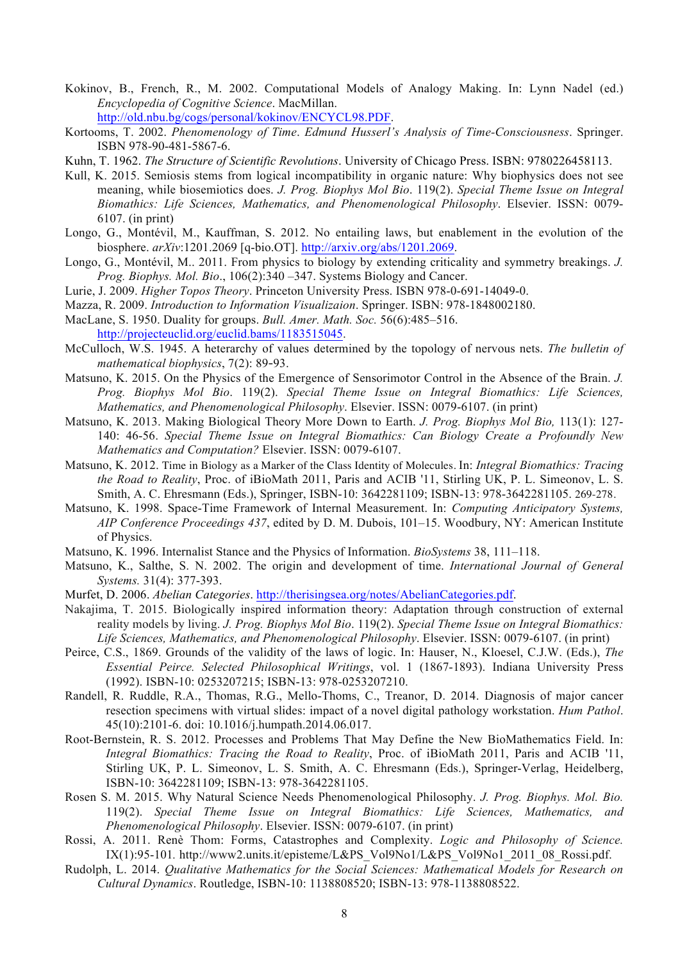- Kokinov, B., French, R., M. 2002. Computational Models of Analogy Making. In: Lynn Nadel (ed.) *Encyclopedia of Cognitive Science*. MacMillan. http://old.nbu.bg/cogs/personal/kokinov/ENCYCL98.PDF.
- Kortooms, T. 2002. *Phenomenology of Time*. *Edmund Husserl's Analysis of Time-Consciousness*. Springer. ISBN 978-90-481-5867-6.
- Kuhn, T. 1962. *The Structure of Scientific Revolutions*. University of Chicago Press. ISBN: 9780226458113.
- Kull, K. 2015. Semiosis stems from logical incompatibility in organic nature: Why biophysics does not see meaning, while biosemiotics does. *J. Prog. Biophys Mol Bio*. 119(2). *Special Theme Issue on Integral Biomathics: Life Sciences, Mathematics, and Phenomenological Philosophy*. Elsevier. ISSN: 0079- 6107. (in print)
- Longo, G., Montévil, M., Kauffman, S. 2012. No entailing laws, but enablement in the evolution of the biosphere. *arXiv*:1201.2069 [q-bio.OT]. http://arxiv.org/abs/1201.2069.
- Longo, G., Montévil, M.. 2011. From physics to biology by extending criticality and symmetry breakings. *J. Prog. Biophys. Mol. Bio*., 106(2):340 –347. Systems Biology and Cancer.
- Lurie, J. 2009. *Higher Topos Theory*. Princeton University Press. ISBN 978-0-691-14049-0.
- Mazza, R. 2009. *Introduction to Information Visualizaion*. Springer. ISBN: 978-1848002180.
- MacLane, S. 1950. Duality for groups. *Bull. Amer. Math. Soc.* 56(6):485–516. http://projecteuclid.org/euclid.bams/1183515045.
- McCulloch, W.S. 1945. A heterarchy of values determined by the topology of nervous nets. *The bulletin of mathematical biophysics*, 7(2): 89**‐**93.
- Matsuno, K. 2015. On the Physics of the Emergence of Sensorimotor Control in the Absence of the Brain. *J. Prog. Biophys Mol Bio*. 119(2). *Special Theme Issue on Integral Biomathics: Life Sciences, Mathematics, and Phenomenological Philosophy*. Elsevier. ISSN: 0079-6107. (in print)
- Matsuno, K. 2013. Making Biological Theory More Down to Earth. *J. Prog. Biophys Mol Bio,* 113(1): 127- 140: 46-56. *Special Theme Issue on Integral Biomathics: Can Biology Create a Profoundly New Mathematics and Computation?* Elsevier. ISSN: 0079-6107.
- Matsuno, K. 2012. Time in Biology as a Marker of the Class Identity of Molecules. In: *Integral Biomathics: Tracing the Road to Reality*, Proc. of iBioMath 2011, Paris and ACIB '11, Stirling UK, P. L. Simeonov, L. S. Smith, A. C. Ehresmann (Eds.), Springer, ISBN-10: 3642281109; ISBN-13: 978-3642281105. 269-278.
- Matsuno, K. 1998. Space-Time Framework of Internal Measurement. In: *Computing Anticipatory Systems, AIP Conference Proceedings 437*, edited by D. M. Dubois, 101–15. Woodbury, NY: American Institute of Physics.
- Matsuno, K. 1996. Internalist Stance and the Physics of Information. *BioSystems* 38, 111–118.
- Matsuno, K., Salthe, S. N. 2002. The origin and development of time. *International Journal of General Systems.* 31(4): 377-393.
- Murfet, D. 2006. *Abelian Categories*. http://therisingsea.org/notes/AbelianCategories.pdf.
- Nakajima, T. 2015. Biologically inspired information theory: Adaptation through construction of external reality models by living. *J. Prog. Biophys Mol Bio*. 119(2). *Special Theme Issue on Integral Biomathics: Life Sciences, Mathematics, and Phenomenological Philosophy*. Elsevier. ISSN: 0079-6107. (in print)
- Peirce, C.S., 1869. Grounds of the validity of the laws of logic. In: Hauser, N., Kloesel, C.J.W. (Eds.), *The Essential Peirce. Selected Philosophical Writings*, vol. 1 (1867-1893). Indiana University Press (1992). ISBN-10: 0253207215; ISBN-13: 978-0253207210.
- Randell, R. Ruddle, R.A., Thomas, R.G., Mello-Thoms, C., Treanor, D. 2014. Diagnosis of major cancer resection specimens with virtual slides: impact of a novel digital pathology workstation. *Hum Pathol*. 45(10):2101-6. doi: 10.1016/j.humpath.2014.06.017.
- Root-Bernstein, R. S. 2012. Processes and Problems That May Define the New BioMathematics Field. In: *Integral Biomathics: Tracing the Road to Reality*, Proc. of iBioMath 2011, Paris and ACIB '11, Stirling UK, P. L. Simeonov, L. S. Smith, A. C. Ehresmann (Eds.), Springer-Verlag, Heidelberg, ISBN-10: 3642281109; ISBN-13: 978-3642281105.
- Rosen S. M. 2015. Why Natural Science Needs Phenomenological Philosophy. *J. Prog. Biophys. Mol. Bio.*  119(2). *Special Theme Issue on Integral Biomathics: Life Sciences, Mathematics, and Phenomenological Philosophy*. Elsevier. ISSN: 0079-6107. (in print)
- Rossi, A. 2011. Renè Thom: Forms, Catastrophes and Complexity. *Logic and Philosophy of Science.*  IX(1):95-101*.* http://www2.units.it/episteme/L&PS\_Vol9No1/L&PS\_Vol9No1\_2011\_08\_Rossi.pdf.
- Rudolph, L. 2014. *Qualitative Mathematics for the Social Sciences: Mathematical Models for Research on Cultural Dynamics*. Routledge, ISBN-10: 1138808520; ISBN-13: 978-1138808522.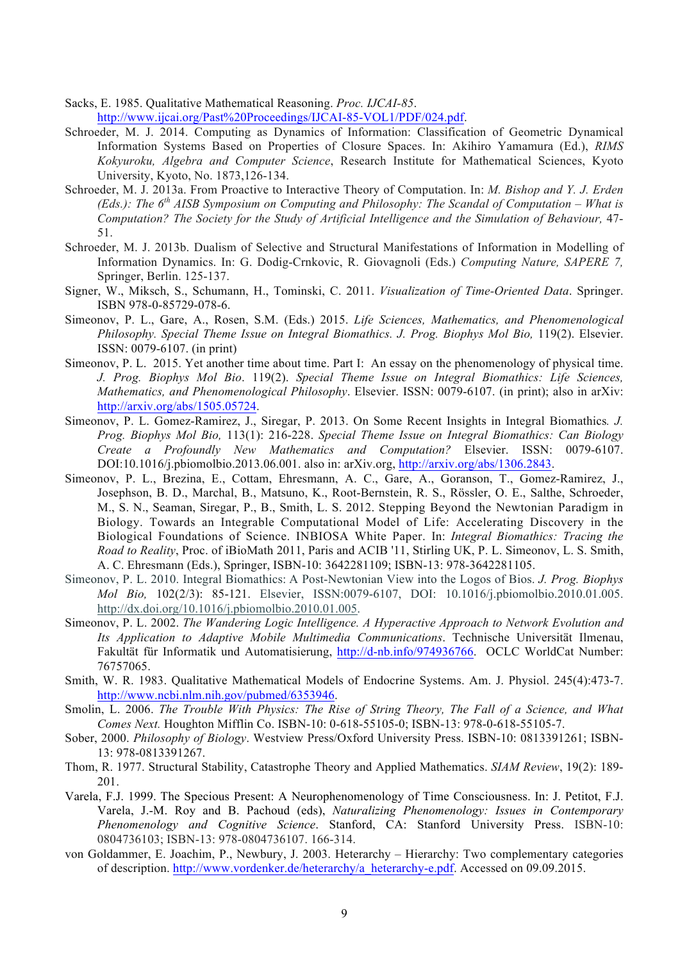Sacks, E. 1985. Qualitative Mathematical Reasoning. *Proc. IJCAI-85*.

- http://www.ijcai.org/Past%20Proceedings/IJCAI-85-VOL1/PDF/024.pdf.
- Schroeder, M. J. 2014. Computing as Dynamics of Information: Classification of Geometric Dynamical Information Systems Based on Properties of Closure Spaces. In: Akihiro Yamamura (Ed.), *RIMS Kokyuroku, Algebra and Computer Science*, Research Institute for Mathematical Sciences, Kyoto University, Kyoto, No. 1873,126-134.
- Schroeder, M. J. 2013a. From Proactive to Interactive Theory of Computation. In: *M. Bishop and Y. J. Erden (Eds.): The 6th AISB Symposium on Computing and Philosophy: The Scandal of Computation – What is Computation? The Society for the Study of Artificial Intelligence and the Simulation of Behaviour,* 47- 51.
- Schroeder, M. J. 2013b. Dualism of Selective and Structural Manifestations of Information in Modelling of Information Dynamics. In: G. Dodig-Crnkovic, R. Giovagnoli (Eds.) *Computing Nature, SAPERE 7,*  Springer, Berlin. 125-137.
- Signer, W., Miksch, S., Schumann, H., Tominski, C. 2011. *Visualization of Time-Oriented Data*. Springer. ISBN 978-0-85729-078-6.
- Simeonov, P. L., Gare, A., Rosen, S.M. (Eds.) 2015. *Life Sciences, Mathematics, and Phenomenological Philosophy. Special Theme Issue on Integral Biomathics. J. Prog. Biophys Mol Bio, 119(2). Elsevier.* ISSN: 0079-6107. (in print)
- Simeonov, P. L. 2015. Yet another time about time. Part I: An essay on the phenomenology of physical time. *J. Prog. Biophys Mol Bio*. 119(2). *Special Theme Issue on Integral Biomathics: Life Sciences, Mathematics, and Phenomenological Philosophy*. Elsevier. ISSN: 0079-6107. (in print); also in arXiv: http://arxiv.org/abs/1505.05724.
- Simeonov, P. L. Gomez-Ramirez, J., Siregar, P. 2013. On Some Recent Insights in Integral Biomathics*. J. Prog. Biophys Mol Bio,* 113(1): 216-228. *Special Theme Issue on Integral Biomathics: Can Biology Create a Profoundly New Mathematics and Computation?* Elsevier. ISSN: 0079-6107. DOI:10.1016/j.pbiomolbio.2013.06.001. also in: arXiv.org, http://arxiv.org/abs/1306.2843.
- Simeonov, P. L., Brezina, E., Cottam, Ehresmann, A. C., Gare, A., Goranson, T., Gomez-Ramirez, J., Josephson, B. D., Marchal, B., Matsuno, K., Root-Bernstein, R. S., Rössler, O. E., Salthe, Schroeder, M., S. N., Seaman, Siregar, P., B., Smith, L. S. 2012. Stepping Beyond the Newtonian Paradigm in Biology. Towards an Integrable Computational Model of Life: Accelerating Discovery in the Biological Foundations of Science. INBIOSA White Paper. In: *Integral Biomathics: Tracing the Road to Reality*, Proc. of iBioMath 2011, Paris and ACIB '11, Stirling UK, P. L. Simeonov, L. S. Smith, A. C. Ehresmann (Eds.), Springer, ISBN-10: 3642281109; ISBN-13: 978-3642281105.
- Simeonov, P. L. 2010. Integral Biomathics: A Post-Newtonian View into the Logos of Bios. *J. Prog. Biophys Mol Bio,* 102(2/3): 85-121. Elsevier, ISSN:0079-6107, DOI: 10.1016/j.pbiomolbio.2010.01.005. http://dx.doi.org/10.1016/j.pbiomolbio.2010.01.005.
- Simeonov, P. L. 2002. *The Wandering Logic Intelligence. A Hyperactive Approach to Network Evolution and Its Application to Adaptive Mobile Multimedia Communications*. Technische Universität Ilmenau, Fakultät für Informatik und Automatisierung, http://d-nb.info/974936766. OCLC WorldCat Number: 76757065.
- Smith, W. R. 1983. Qualitative Mathematical Models of Endocrine Systems. Am. J. Physiol. 245(4):473-7. http://www.ncbi.nlm.nih.gov/pubmed/6353946.
- Smolin, L. 2006. *The Trouble With Physics: The Rise of String Theory, The Fall of a Science, and What Comes Next.* Houghton Mifflin Co. ISBN-10: 0-618-55105-0; ISBN-13: 978-0-618-55105-7.
- Sober, 2000. *Philosophy of Biology*. Westview Press/Oxford University Press. ISBN-10: 0813391261; ISBN-13: 978-0813391267.
- Thom, R. 1977. Structural Stability, Catastrophe Theory and Applied Mathematics. *SIAM Review*, 19(2): 189- 201.
- Varela, F.J. 1999. The Specious Present: A Neurophenomenology of Time Consciousness. In: J. Petitot, F.J. Varela, J.-M. Roy and B. Pachoud (eds), *Naturalizing Phenomenology: Issues in Contemporary Phenomenology and Cognitive Science*. Stanford, CA: Stanford University Press. ISBN-10: 0804736103; ISBN-13: 978-0804736107. 166-314.
- von Goldammer, E. Joachim, P., Newbury, J. 2003. Heterarchy Hierarchy: Two complementary categories of description. http://www.vordenker.de/heterarchy/a\_heterarchy-e.pdf. Accessed on 09.09.2015.